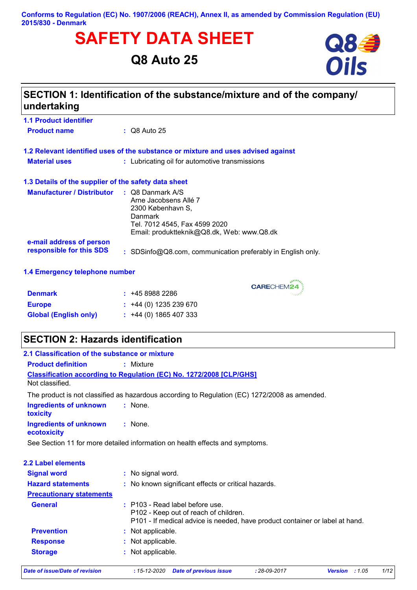#### **Conforms to Regulation (EC) No. 1907/2006 (REACH), Annex II, as amended by Commission Regulation (EU) 2015/830 - Denmark**

# **SAFETY DATA SHEET**<br>
Q8 Auto 25<br> **Oils**

## **Q8 Auto 25**



## **SECTION 1: Identification of the substance/mixture and of the company/ undertaking**

| <b>Product name</b>  | $\therefore$ Q8 Auto 25                                                           |
|----------------------|-----------------------------------------------------------------------------------|
|                      | 1.2 Relevant identified uses of the substance or mixture and uses advised against |
| <b>Material uses</b> | : Lubricating oil for automotive transmissions                                    |

**1.1 Product identifier**

| 1.3 Details of the supplier of the safety data sheet |                                                                                                                                                          |
|------------------------------------------------------|----------------------------------------------------------------------------------------------------------------------------------------------------------|
| <b>Manufacturer / Distributor</b>                    | : Q8 Danmark A/S<br>Arne Jacobsens Allé 7<br>2300 København S,<br>Danmark<br>Tel. 7012 4545, Fax 4599 2020<br>Email: produktteknik@Q8.dk, Web: www.Q8.dk |
| e-mail address of person<br>responsible for this SDS | : SDSinfo@Q8.com, communication preferably in English only.                                                                                              |

#### **1.4 Emergency telephone number**

| <b>Denmark</b>               | : 4589882286                |
|------------------------------|-----------------------------|
| <b>Europe</b>                | $\div$ +44 (0) 1235 239 670 |
| <b>Global (English only)</b> | $\div$ +44 (0) 1865 407 333 |

## **SECTION 2: Hazards identification**

| 2.1 Classification of the substance or mixture |                                                                                                                                                            |
|------------------------------------------------|------------------------------------------------------------------------------------------------------------------------------------------------------------|
| <b>Product definition</b>                      | $:$ Mixture                                                                                                                                                |
| Not classified.                                | <b>Classification according to Regulation (EC) No. 1272/2008 [CLP/GHS]</b>                                                                                 |
|                                                | The product is not classified as hazardous according to Regulation (EC) 1272/2008 as amended.                                                              |
| <b>Ingredients of unknown</b><br>toxicity      | $:$ None.                                                                                                                                                  |
| <b>Ingredients of unknown</b><br>ecotoxicity   | $:$ None.                                                                                                                                                  |
|                                                | See Section 11 for more detailed information on health effects and symptoms.                                                                               |
| <b>2.2 Label elements</b>                      |                                                                                                                                                            |
| <b>Signal word</b>                             | : No signal word.                                                                                                                                          |
| <b>Hazard statements</b>                       | : No known significant effects or critical hazards.                                                                                                        |
| <b>Precautionary statements</b>                |                                                                                                                                                            |
| <b>General</b>                                 | $:$ P103 - Read label before use.<br>P102 - Keep out of reach of children.<br>P101 - If medical advice is needed, have product container or label at hand. |
| <b>Prevention</b>                              | : Not applicable.                                                                                                                                          |
|                                                |                                                                                                                                                            |
| <b>Response</b>                                | : Not applicable.                                                                                                                                          |

CARECHEM24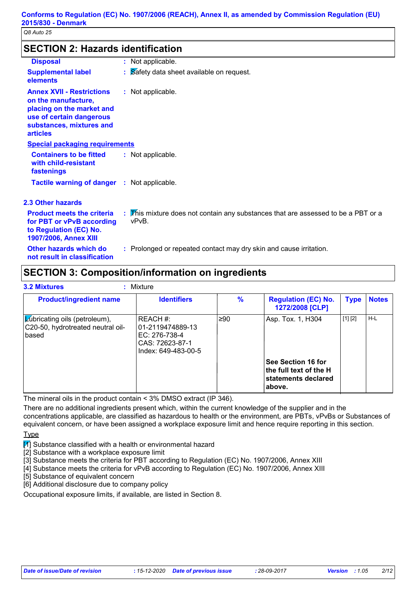## **SECTION 2: Hazards identification**

| <b>Disposal</b>                                                                                                                                                 | : Not applicable.                                                                          |
|-----------------------------------------------------------------------------------------------------------------------------------------------------------------|--------------------------------------------------------------------------------------------|
| <b>Supplemental label</b><br>elements                                                                                                                           | : Safety data sheet available on request.                                                  |
| <b>Annex XVII - Restrictions</b><br>on the manufacture,<br>placing on the market and<br>use of certain dangerous<br>substances, mixtures and<br><b>articles</b> | : Not applicable.                                                                          |
| <b>Special packaging requirements</b>                                                                                                                           |                                                                                            |
| <b>Containers to be fitted</b><br>with child-resistant<br>fastenings                                                                                            | : Not applicable.                                                                          |
| <b>Tactile warning of danger : Not applicable.</b>                                                                                                              |                                                                                            |
| <b>2.3 Other hazards</b>                                                                                                                                        |                                                                                            |
| <b>Product meets the criteria</b><br>for PBT or vPvB according<br>to Regulation (EC) No.<br><b>1907/2006, Annex XIII</b>                                        | : This mixture does not contain any substances that are assessed to be a PBT or a<br>vPvB. |
| Other hazards which do<br>not result in classification                                                                                                          | : Prolonged or repeated contact may dry skin and cause irritation.                         |

## **SECTION 3: Composition/information on ingredients**

| <b>3.2 Mixtures</b><br>Mixture                                                           |                                                                                         |               |                                                                                    |             |              |
|------------------------------------------------------------------------------------------|-----------------------------------------------------------------------------------------|---------------|------------------------------------------------------------------------------------|-------------|--------------|
| <b>Product/ingredient name</b>                                                           | <b>Identifiers</b>                                                                      | $\frac{9}{6}$ | <b>Regulation (EC) No.</b><br>1272/2008 [CLP]                                      | <b>Type</b> | <b>Notes</b> |
| $\mathcal{L}$ ubricating oils (petroleum),<br>C20-50, hydrotreated neutral oil-<br>based | REACH #:<br>01-2119474889-13<br>EC: 276-738-4<br>CAS: 72623-87-1<br>Index: 649-483-00-5 | l≥90          | Asp. Tox. 1, H304                                                                  | [1] [2]     | $H-L$        |
|                                                                                          |                                                                                         |               | See Section 16 for<br>the full text of the H $\,$<br>statements declared<br>above. |             |              |

The mineral oils in the product contain < 3% DMSO extract (IP 346).

There are no additional ingredients present which, within the current knowledge of the supplier and in the concentrations applicable, are classified as hazardous to health or the environment, are PBTs, vPvBs or Substances of equivalent concern, or have been assigned a workplace exposure limit and hence require reporting in this section.

Type

 $\mathbb{Z}$  Substance classified with a health or environmental hazard

[2] Substance with a workplace exposure limit

[3] Substance meets the criteria for PBT according to Regulation (EC) No. 1907/2006, Annex XIII

[4] Substance meets the criteria for vPvB according to Regulation (EC) No. 1907/2006, Annex XIII

[5] Substance of equivalent concern

[6] Additional disclosure due to company policy

Occupational exposure limits, if available, are listed in Section 8.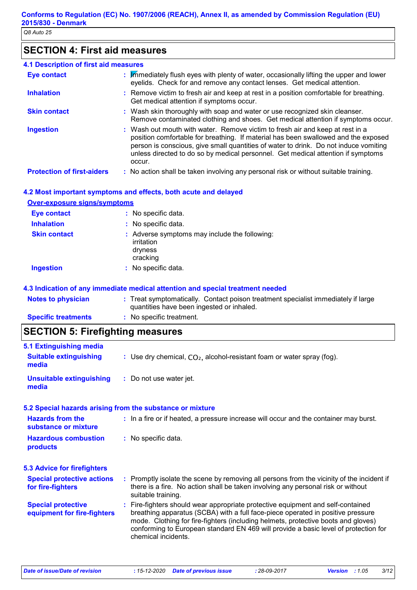## **SECTION 4: First aid measures**

| 4.1 Description of first aid measures |                                                                                                                                                                                                                                                                                                                                                           |
|---------------------------------------|-----------------------------------------------------------------------------------------------------------------------------------------------------------------------------------------------------------------------------------------------------------------------------------------------------------------------------------------------------------|
| <b>Eye contact</b>                    | : Mimediately flush eyes with plenty of water, occasionally lifting the upper and lower<br>eyelids. Check for and remove any contact lenses. Get medical attention.                                                                                                                                                                                       |
| <b>Inhalation</b>                     | : Remove victim to fresh air and keep at rest in a position comfortable for breathing.<br>Get medical attention if symptoms occur.                                                                                                                                                                                                                        |
| <b>Skin contact</b>                   | : Wash skin thoroughly with soap and water or use recognized skin cleanser.<br>Remove contaminated clothing and shoes. Get medical attention if symptoms occur.                                                                                                                                                                                           |
| <b>Ingestion</b>                      | : Wash out mouth with water. Remove victim to fresh air and keep at rest in a<br>position comfortable for breathing. If material has been swallowed and the exposed<br>person is conscious, give small quantities of water to drink. Do not induce vomiting<br>unless directed to do so by medical personnel. Get medical attention if symptoms<br>occur. |
| <b>Protection of first-aiders</b>     | : No action shall be taken involving any personal risk or without suitable training.                                                                                                                                                                                                                                                                      |

#### **4.2 Most important symptoms and effects, both acute and delayed**

#### **Over-exposure signs/symptoms**

| Eye contact         | : No specific data.                                                                |
|---------------------|------------------------------------------------------------------------------------|
| <b>Inhalation</b>   | : No specific data.                                                                |
| <b>Skin contact</b> | : Adverse symptoms may include the following:<br>irritation<br>dryness<br>cracking |
| <b>Ingestion</b>    | : No specific data.                                                                |

#### **4.3 Indication of any immediate medical attention and special treatment needed**

| <b>Notes to physician</b>  | : Treat symptomatically. Contact poison treatment specialist immediately if large |
|----------------------------|-----------------------------------------------------------------------------------|
|                            | quantities have been ingested or inhaled.                                         |
| <b>Specific treatments</b> | : No specific treatment.                                                          |

## **SECTION 5: Firefighting measures**

| <b>5.1 Extinguishing media</b>                           |                                                                                                                                                                                                                                                                                                                                                                       |
|----------------------------------------------------------|-----------------------------------------------------------------------------------------------------------------------------------------------------------------------------------------------------------------------------------------------------------------------------------------------------------------------------------------------------------------------|
| <b>Suitable extinguishing</b><br>media                   | : Use dry chemical, $CO2$ , alcohol-resistant foam or water spray (fog).                                                                                                                                                                                                                                                                                              |
| <b>Unsuitable extinguishing</b><br>media                 | : Do not use water jet.                                                                                                                                                                                                                                                                                                                                               |
|                                                          | 5.2 Special hazards arising from the substance or mixture                                                                                                                                                                                                                                                                                                             |
| <b>Hazards from the</b><br>substance or mixture          | : In a fire or if heated, a pressure increase will occur and the container may burst.                                                                                                                                                                                                                                                                                 |
| <b>Hazardous combustion</b><br>products                  | : No specific data.                                                                                                                                                                                                                                                                                                                                                   |
| <b>5.3 Advice for firefighters</b>                       |                                                                                                                                                                                                                                                                                                                                                                       |
| <b>Special protective actions</b><br>for fire-fighters   | : Promptly isolate the scene by removing all persons from the vicinity of the incident if<br>there is a fire. No action shall be taken involving any personal risk or without<br>suitable training.                                                                                                                                                                   |
| <b>Special protective</b><br>equipment for fire-fighters | : Fire-fighters should wear appropriate protective equipment and self-contained<br>breathing apparatus (SCBA) with a full face-piece operated in positive pressure<br>mode. Clothing for fire-fighters (including helmets, protective boots and gloves)<br>conforming to European standard EN 469 will provide a basic level of protection for<br>chemical incidents. |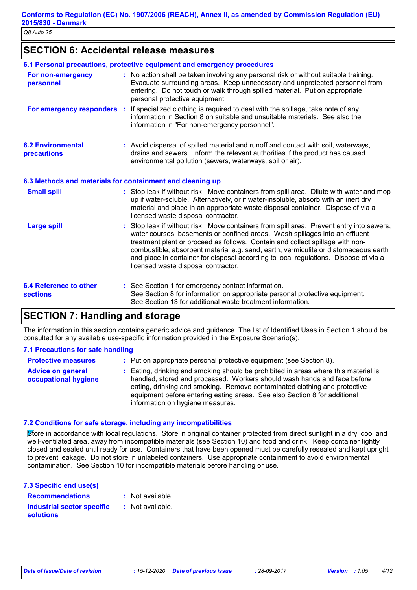## **SECTION 6: Accidental release measures**

|                                                  | 6.1 Personal precautions, protective equipment and emergency procedures                                                                                                                                                                                                                                                                                                                                                                                                        |
|--------------------------------------------------|--------------------------------------------------------------------------------------------------------------------------------------------------------------------------------------------------------------------------------------------------------------------------------------------------------------------------------------------------------------------------------------------------------------------------------------------------------------------------------|
| For non-emergency<br>personnel                   | : No action shall be taken involving any personal risk or without suitable training.<br>Evacuate surrounding areas. Keep unnecessary and unprotected personnel from<br>entering. Do not touch or walk through spilled material. Put on appropriate<br>personal protective equipment.                                                                                                                                                                                           |
| For emergency responders                         | If specialized clothing is required to deal with the spillage, take note of any<br>information in Section 8 on suitable and unsuitable materials. See also the<br>information in "For non-emergency personnel".                                                                                                                                                                                                                                                                |
| <b>6.2 Environmental</b><br>precautions          | : Avoid dispersal of spilled material and runoff and contact with soil, waterways,<br>drains and sewers. Inform the relevant authorities if the product has caused<br>environmental pollution (sewers, waterways, soil or air).                                                                                                                                                                                                                                                |
|                                                  | 6.3 Methods and materials for containment and cleaning up                                                                                                                                                                                                                                                                                                                                                                                                                      |
| <b>Small spill</b>                               | : Stop leak if without risk. Move containers from spill area. Dilute with water and mop<br>up if water-soluble. Alternatively, or if water-insoluble, absorb with an inert dry<br>material and place in an appropriate waste disposal container. Dispose of via a<br>licensed waste disposal contractor.                                                                                                                                                                       |
| <b>Large spill</b>                               | : Stop leak if without risk. Move containers from spill area. Prevent entry into sewers,<br>water courses, basements or confined areas. Wash spillages into an effluent<br>treatment plant or proceed as follows. Contain and collect spillage with non-<br>combustible, absorbent material e.g. sand, earth, vermiculite or diatomaceous earth<br>and place in container for disposal according to local regulations. Dispose of via a<br>licensed waste disposal contractor. |
| <b>6.4 Reference to other</b><br><b>sections</b> | : See Section 1 for emergency contact information.<br>See Section 8 for information on appropriate personal protective equipment.<br>See Section 13 for additional waste treatment information.                                                                                                                                                                                                                                                                                |

## **SECTION 7: Handling and storage**

The information in this section contains generic advice and guidance. The list of Identified Uses in Section 1 should be consulted for any available use-specific information provided in the Exposure Scenario(s).

#### **7.1 Precautions for safe handling**

| <b>Protective measures</b>                       | : Put on appropriate personal protective equipment (see Section 8).                                                                                                                                                                                                                                                                                           |
|--------------------------------------------------|---------------------------------------------------------------------------------------------------------------------------------------------------------------------------------------------------------------------------------------------------------------------------------------------------------------------------------------------------------------|
| <b>Advice on general</b><br>occupational hygiene | : Eating, drinking and smoking should be prohibited in areas where this material is<br>handled, stored and processed. Workers should wash hands and face before<br>eating, drinking and smoking. Remove contaminated clothing and protective<br>equipment before entering eating areas. See also Section 8 for additional<br>information on hygiene measures. |

#### **7.2 Conditions for safe storage, including any incompatibilities**

Store in accordance with local regulations. Store in original container protected from direct sunlight in a dry, cool and well-ventilated area, away from incompatible materials (see Section 10) and food and drink. Keep container tightly closed and sealed until ready for use. Containers that have been opened must be carefully resealed and kept upright to prevent leakage. Do not store in unlabeled containers. Use appropriate containment to avoid environmental contamination. See Section 10 for incompatible materials before handling or use.

| 7.3 Specific end use(s)    |                  |
|----------------------------|------------------|
| <b>Recommendations</b>     | : Not available. |
| Industrial sector specific | : Not available. |
| <b>solutions</b>           |                  |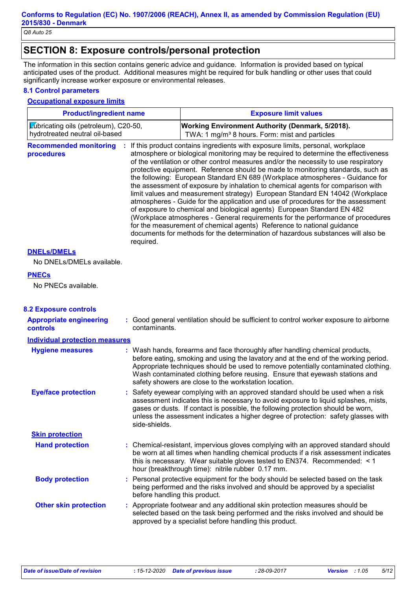## **SECTION 8: Exposure controls/personal protection**

The information in this section contains generic advice and guidance. Information is provided based on typical anticipated uses of the product. Additional measures might be required for bulk handling or other uses that could significantly increase worker exposure or environmental releases.

#### **8.1 Control parameters**

#### **Occupational exposure limits**

| Lubricating oils (petroleum), C20-50,<br>Working Environment Authority (Denmark, 5/2018).<br>hydrotreated neutral oil-based<br>TWA: 1 mg/m <sup>3</sup> 8 hours. Form: mist and particles<br>: If this product contains ingredients with exposure limits, personal, workplace<br><b>Recommended monitoring</b><br>atmosphere or biological monitoring may be required to determine the effectiveness<br>procedures<br>of the ventilation or other control measures and/or the necessity to use respiratory<br>protective equipment. Reference should be made to monitoring standards, such as<br>the following: European Standard EN 689 (Workplace atmospheres - Guidance for<br>the assessment of exposure by inhalation to chemical agents for comparison with<br>limit values and measurement strategy) European Standard EN 14042 (Workplace<br>atmospheres - Guide for the application and use of procedures for the assessment<br>of exposure to chemical and biological agents) European Standard EN 482<br>(Workplace atmospheres - General requirements for the performance of procedures<br>for the measurement of chemical agents) Reference to national guidance |  |
|-------------------------------------------------------------------------------------------------------------------------------------------------------------------------------------------------------------------------------------------------------------------------------------------------------------------------------------------------------------------------------------------------------------------------------------------------------------------------------------------------------------------------------------------------------------------------------------------------------------------------------------------------------------------------------------------------------------------------------------------------------------------------------------------------------------------------------------------------------------------------------------------------------------------------------------------------------------------------------------------------------------------------------------------------------------------------------------------------------------------------------------------------------------------------------|--|
|                                                                                                                                                                                                                                                                                                                                                                                                                                                                                                                                                                                                                                                                                                                                                                                                                                                                                                                                                                                                                                                                                                                                                                               |  |
| documents for methods for the determination of hazardous substances will also be<br>required.                                                                                                                                                                                                                                                                                                                                                                                                                                                                                                                                                                                                                                                                                                                                                                                                                                                                                                                                                                                                                                                                                 |  |
| <b>DNELS/DMELS</b>                                                                                                                                                                                                                                                                                                                                                                                                                                                                                                                                                                                                                                                                                                                                                                                                                                                                                                                                                                                                                                                                                                                                                            |  |
| No DNELs/DMELs available.                                                                                                                                                                                                                                                                                                                                                                                                                                                                                                                                                                                                                                                                                                                                                                                                                                                                                                                                                                                                                                                                                                                                                     |  |
| <b>PNECs</b>                                                                                                                                                                                                                                                                                                                                                                                                                                                                                                                                                                                                                                                                                                                                                                                                                                                                                                                                                                                                                                                                                                                                                                  |  |
| No PNECs available.                                                                                                                                                                                                                                                                                                                                                                                                                                                                                                                                                                                                                                                                                                                                                                                                                                                                                                                                                                                                                                                                                                                                                           |  |
| <b>8.2 Exposure controls</b>                                                                                                                                                                                                                                                                                                                                                                                                                                                                                                                                                                                                                                                                                                                                                                                                                                                                                                                                                                                                                                                                                                                                                  |  |
| : Good general ventilation should be sufficient to control worker exposure to airborne<br><b>Appropriate engineering</b><br>contaminants.<br><b>controls</b>                                                                                                                                                                                                                                                                                                                                                                                                                                                                                                                                                                                                                                                                                                                                                                                                                                                                                                                                                                                                                  |  |
| <b>Individual protection measures</b>                                                                                                                                                                                                                                                                                                                                                                                                                                                                                                                                                                                                                                                                                                                                                                                                                                                                                                                                                                                                                                                                                                                                         |  |
| : Wash hands, forearms and face thoroughly after handling chemical products,<br><b>Hygiene measures</b><br>before eating, smoking and using the lavatory and at the end of the working period.<br>Appropriate techniques should be used to remove potentially contaminated clothing.<br>Wash contaminated clothing before reusing. Ensure that eyewash stations and<br>safety showers are close to the workstation location.                                                                                                                                                                                                                                                                                                                                                                                                                                                                                                                                                                                                                                                                                                                                                  |  |
| <b>Eye/face protection</b><br>Safety eyewear complying with an approved standard should be used when a risk<br>assessment indicates this is necessary to avoid exposure to liquid splashes, mists,<br>gases or dusts. If contact is possible, the following protection should be worn,<br>unless the assessment indicates a higher degree of protection: safety glasses with<br>side-shields.                                                                                                                                                                                                                                                                                                                                                                                                                                                                                                                                                                                                                                                                                                                                                                                 |  |
| <b>Skin protection</b>                                                                                                                                                                                                                                                                                                                                                                                                                                                                                                                                                                                                                                                                                                                                                                                                                                                                                                                                                                                                                                                                                                                                                        |  |
| <b>Hand protection</b><br>: Chemical-resistant, impervious gloves complying with an approved standard should<br>be worn at all times when handling chemical products if a risk assessment indicates<br>this is necessary. Wear suitable gloves tested to EN374. Recommended: < 1<br>hour (breakthrough time): nitrile rubber 0.17 mm.                                                                                                                                                                                                                                                                                                                                                                                                                                                                                                                                                                                                                                                                                                                                                                                                                                         |  |
| <b>Body protection</b><br>: Personal protective equipment for the body should be selected based on the task<br>being performed and the risks involved and should be approved by a specialist<br>before handling this product.                                                                                                                                                                                                                                                                                                                                                                                                                                                                                                                                                                                                                                                                                                                                                                                                                                                                                                                                                 |  |
| <b>Other skin protection</b><br>: Appropriate footwear and any additional skin protection measures should be<br>selected based on the task being performed and the risks involved and should be<br>approved by a specialist before handling this product.                                                                                                                                                                                                                                                                                                                                                                                                                                                                                                                                                                                                                                                                                                                                                                                                                                                                                                                     |  |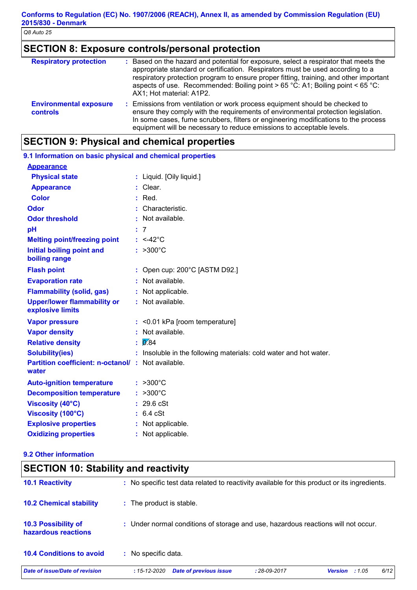## **SECTION 8: Exposure controls/personal protection**

| <b>Respiratory protection</b>                    | : Based on the hazard and potential for exposure, select a respirator that meets the<br>appropriate standard or certification. Respirators must be used according to a<br>respiratory protection program to ensure proper fitting, training, and other important<br>aspects of use. Recommended: Boiling point > 65 °C: A1; Boiling point < 65 °C:          |
|--------------------------------------------------|-------------------------------------------------------------------------------------------------------------------------------------------------------------------------------------------------------------------------------------------------------------------------------------------------------------------------------------------------------------|
| <b>Environmental exposure</b><br><b>controls</b> | AX1; Hot material: A1P2.<br>: Emissions from ventilation or work process equipment should be checked to<br>ensure they comply with the requirements of environmental protection legislation.<br>In some cases, fume scrubbers, filters or engineering modifications to the process<br>equipment will be necessary to reduce emissions to acceptable levels. |

## **SECTION 9: Physical and chemical properties**

| 9.1 Information on basic physical and chemical properties |    |                                                                 |
|-----------------------------------------------------------|----|-----------------------------------------------------------------|
| <b>Appearance</b>                                         |    |                                                                 |
| <b>Physical state</b>                                     |    | : Liquid. [Oily liquid.]                                        |
| <b>Appearance</b>                                         |    | Clear.                                                          |
| <b>Color</b>                                              |    | $:$ Red.                                                        |
| <b>Odor</b>                                               |    | Characteristic.                                                 |
| <b>Odor threshold</b>                                     |    | Not available.                                                  |
| pH                                                        |    | 7                                                               |
| <b>Melting point/freezing point</b>                       |    | $: <42^{\circ}$ C                                               |
| <b>Initial boiling point and</b><br>boiling range         |    | $: >300^{\circ}C$                                               |
| <b>Flash point</b>                                        |    | : Open cup: $200^{\circ}$ C [ASTM D92.]                         |
| <b>Evaporation rate</b>                                   |    | Not available.                                                  |
| <b>Flammability (solid, gas)</b>                          |    | Not applicable.                                                 |
| <b>Upper/lower flammability or</b><br>explosive limits    |    | : Not available.                                                |
| <b>Vapor pressure</b>                                     |    | : <0.01 kPa [room temperature]                                  |
| <b>Vapor density</b>                                      |    | Not available.                                                  |
| <b>Relative density</b>                                   |    | 0.84                                                            |
| <b>Solubility(ies)</b>                                    |    | Insoluble in the following materials: cold water and hot water. |
| <b>Partition coefficient: n-octanol/:</b><br>water        |    | Not available.                                                  |
| <b>Auto-ignition temperature</b>                          |    | $: >300^{\circ}C$                                               |
| <b>Decomposition temperature</b>                          |    | $>300^{\circ}$ C                                                |
| <b>Viscosity (40°C)</b>                                   |    | 29.6 cSt                                                        |
| Viscosity (100°C)                                         | ÷. | $6.4$ cSt                                                       |
| <b>Explosive properties</b>                               |    | Not applicable.                                                 |
| <b>Oxidizing properties</b>                               |    | : Not applicable.                                               |
|                                                           |    |                                                                 |

#### **9.2 Other information**

| <b>SECTION 10: Stability and reactivity</b>    |                    |                                                                                                                                                                                   |
|------------------------------------------------|--------------------|-----------------------------------------------------------------------------------------------------------------------------------------------------------------------------------|
|                                                |                    |                                                                                                                                                                                   |
| : The product is stable.                       |                    |                                                                                                                                                                                   |
|                                                |                    |                                                                                                                                                                                   |
| : No specific data.                            |                    |                                                                                                                                                                                   |
| <b>Date of previous issue</b><br>$:15-12-2020$ | $: 28 - 09 - 2017$ | 6/12<br><b>Version</b><br>:1.05                                                                                                                                                   |
|                                                |                    | : No specific test data related to reactivity available for this product or its ingredients.<br>: Under normal conditions of storage and use, hazardous reactions will not occur. |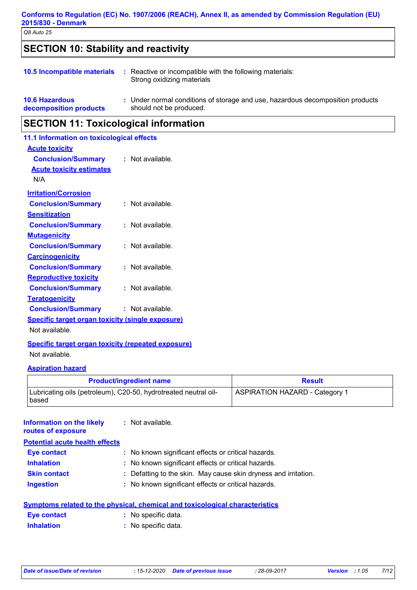## **SECTION 10: Stability and reactivity**

|  | <b>10.5 Incompatible materials</b> : Reactive or incompatible with the following materials:<br>Strong oxidizing materials |
|--|---------------------------------------------------------------------------------------------------------------------------|
|  |                                                                                                                           |

| <b>10.6 Hazardous</b>  | Under normal conditions of storage and use, hazardous decomposition products |
|------------------------|------------------------------------------------------------------------------|
| decomposition products | should not be produced.                                                      |

## **SECTION 11: Toxicological information**

| 11.1 Information on toxicological effects               |                    |
|---------------------------------------------------------|--------------------|
| <u>Acute toxicity</u>                                   |                    |
| <b>Conclusion/Summary</b>                               | $:$ Not available. |
| <b>Acute toxicity estimates</b>                         |                    |
| N/A                                                     |                    |
| <b>Irritation/Corrosion</b>                             |                    |
| <b>Conclusion/Summary</b>                               | $:$ Not available. |
| <u>Sensitization</u>                                    |                    |
| <b>Conclusion/Summary</b>                               | $:$ Not available. |
| <b>Mutagenicity</b>                                     |                    |
| <b>Conclusion/Summary</b>                               | $:$ Not available. |
| <b>Carcinogenicity</b>                                  |                    |
| <b>Conclusion/Summary</b>                               | $:$ Not available. |
| <b>Reproductive toxicity</b>                            |                    |
| <b>Conclusion/Summary</b>                               | $:$ Not available. |
| <b>Teratogenicity</b>                                   |                    |
| <b>Conclusion/Summary</b>                               | $:$ Not available. |
| <b>Specific target organ toxicity (single exposure)</b> |                    |
| Not available.                                          |                    |

**Specific target organ toxicity (repeated exposure)** Not available.

#### **Aspiration hazard**

| <b>Product/ingredient name</b>                                           | <b>Result</b>                         |
|--------------------------------------------------------------------------|---------------------------------------|
| Lubricating oils (petroleum), C20-50, hydrotreated neutral oil-<br>based | <b>ASPIRATION HAZARD - Category 1</b> |

Not available. **: Information on the likely routes of exposure**

| <b>Potential acute health effects</b> |                                                                 |
|---------------------------------------|-----------------------------------------------------------------|
| <b>Eye contact</b>                    | : No known significant effects or critical hazards.             |
| <b>Inhalation</b>                     | : No known significant effects or critical hazards.             |
| <b>Skin contact</b>                   | : Defatting to the skin. May cause skin dryness and irritation. |
| <b>Ingestion</b>                      | : No known significant effects or critical hazards.             |

|                   | Symptoms related to the physical, chemical and toxicological characteristics |
|-------------------|------------------------------------------------------------------------------|
| Eye contact       | : No specific data.                                                          |
| <b>Inhalation</b> | : No specific data.                                                          |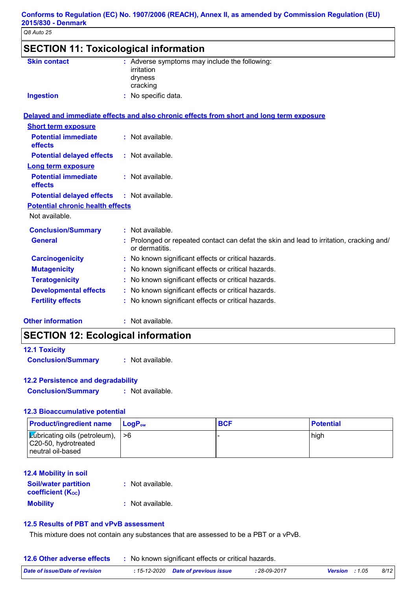| <b>Skin contact</b>                     | : Adverse symptoms may include the following:<br>irritation<br>dryness                                     |
|-----------------------------------------|------------------------------------------------------------------------------------------------------------|
| <b>Ingestion</b>                        | cracking<br>: No specific data.                                                                            |
|                                         | Delayed and immediate effects and also chronic effects from short and long term exposure                   |
| <b>Short term exposure</b>              |                                                                                                            |
| <b>Potential immediate</b><br>effects   | : Not available.                                                                                           |
| <b>Potential delayed effects</b>        | : Not available.                                                                                           |
| <b>Long term exposure</b>               |                                                                                                            |
| <b>Potential immediate</b><br>effects   | : Not available.                                                                                           |
| <b>Potential delayed effects</b>        | : Not available.                                                                                           |
| <b>Potential chronic health effects</b> |                                                                                                            |
| Not available.                          |                                                                                                            |
| <b>Conclusion/Summary</b>               | : Not available.                                                                                           |
| <b>General</b>                          | : Prolonged or repeated contact can defat the skin and lead to irritation, cracking and/<br>or dermatitis. |
| <b>Carcinogenicity</b>                  | : No known significant effects or critical hazards.                                                        |
| <b>Mutagenicity</b>                     | No known significant effects or critical hazards.                                                          |
| <b>Teratogenicity</b>                   | No known significant effects or critical hazards.                                                          |
| <b>Developmental effects</b>            | : No known significant effects or critical hazards.                                                        |
| <b>Fertility effects</b>                | : No known significant effects or critical hazards.                                                        |

**Other information :**

: Not available.

## **SECTION 12: Ecological information**

| <b>12.1 Toxicity</b>      |                  |
|---------------------------|------------------|
| <b>Conclusion/Summary</b> | : Not available. |

## **12.2 Persistence and degradability**

**Conclusion/Summary :** Not available.

## **12.3 Bioaccumulative potential**

| <b>Product/ingredient name</b>                                                                   | $\blacksquare$ Log $\mathsf{P}_\mathsf{ow}$ | <b>BCF</b> | <b>Potential</b> |
|--------------------------------------------------------------------------------------------------|---------------------------------------------|------------|------------------|
| $ \mathcal{L}$ ubricating oils (petroleum), $ >6$<br>C20-50, hydrotreated<br>l neutral oil-based |                                             |            | high             |

## **12.4 Mobility in soil**

| <b>Soil/water partition</b><br><b>coefficient (Koc)</b> | : Not available. |
|---------------------------------------------------------|------------------|
| <b>Mobility</b>                                         | : Not available. |

## **12.5 Results of PBT and vPvB assessment**

This mixture does not contain any substances that are assessed to be a PBT or a vPvB.

**12.6 Other adverse effects** : No known significant effects or critical hazards.

| Date of issue/Date of revision | <b>: 15-12-2020</b> Date of previous issue | : 28-09-2017 | <b>Version</b> : 1.05 | 8/12 |
|--------------------------------|--------------------------------------------|--------------|-----------------------|------|
|                                |                                            |              |                       |      |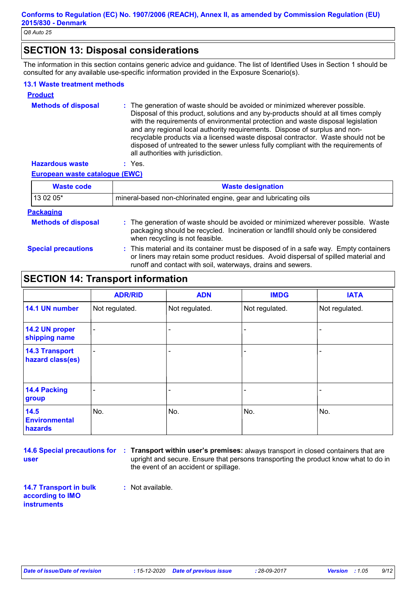## **SECTION 13: Disposal considerations**

The information in this section contains generic advice and guidance. The list of Identified Uses in Section 1 should be consulted for any available use-specific information provided in the Exposure Scenario(s).

#### **13.1 Waste treatment methods**

| <b>Product</b>             |                                                                                                                                                                                                                                                                                                                                                                                                                                                                                                                                                      |
|----------------------------|------------------------------------------------------------------------------------------------------------------------------------------------------------------------------------------------------------------------------------------------------------------------------------------------------------------------------------------------------------------------------------------------------------------------------------------------------------------------------------------------------------------------------------------------------|
| <b>Methods of disposal</b> | : The generation of waste should be avoided or minimized wherever possible.<br>Disposal of this product, solutions and any by-products should at all times comply<br>with the requirements of environmental protection and waste disposal legislation<br>and any regional local authority requirements. Dispose of surplus and non-<br>recyclable products via a licensed waste disposal contractor. Waste should not be<br>disposed of untreated to the sewer unless fully compliant with the requirements of<br>all authorities with jurisdiction. |
| <b>Hazardous waste</b>     | Yes.                                                                                                                                                                                                                                                                                                                                                                                                                                                                                                                                                 |

#### **European waste catalogue (EWC)**

| <b>Waste code</b>          | <b>Waste designation</b>                                                                                                                                                                                                                    |
|----------------------------|---------------------------------------------------------------------------------------------------------------------------------------------------------------------------------------------------------------------------------------------|
| 13 02 05*                  | mineral-based non-chlorinated engine, gear and lubricating oils                                                                                                                                                                             |
| <b>Packaging</b>           |                                                                                                                                                                                                                                             |
| <b>Methods of disposal</b> | : The generation of waste should be avoided or minimized wherever possible. Waste<br>packaging should be recycled. Incineration or landfill should only be considered<br>when recycling is not feasible.                                    |
| <b>Special precautions</b> | : This material and its container must be disposed of in a safe way. Empty containers<br>or liners may retain some product residues. Avoid dispersal of spilled material and<br>runoff and contact with soil, waterways, drains and sewers. |

## **SECTION 14: Transport information**

|                                           | <b>ADR/RID</b> | <b>ADN</b>     | <b>IMDG</b>              | <b>IATA</b>    |
|-------------------------------------------|----------------|----------------|--------------------------|----------------|
| 14.1 UN number                            | Not regulated. | Not regulated. | Not regulated.           | Not regulated. |
| 14.2 UN proper<br>shipping name           | $\blacksquare$ |                | $\overline{\phantom{0}}$ |                |
| <b>14.3 Transport</b><br>hazard class(es) | $\blacksquare$ |                | $\overline{\phantom{0}}$ |                |
| 14.4 Packing<br>group                     |                |                |                          |                |
| 14.5<br><b>Environmental</b><br>hazards   | No.            | No.            | No.                      | No.            |

**user**

**14.6 Special precautions for : Transport within user's premises:** always transport in closed containers that are upright and secure. Ensure that persons transporting the product know what to do in the event of an accident or spillage.

**14.7 Transport in bulk according to IMO instruments**

**:** Not available.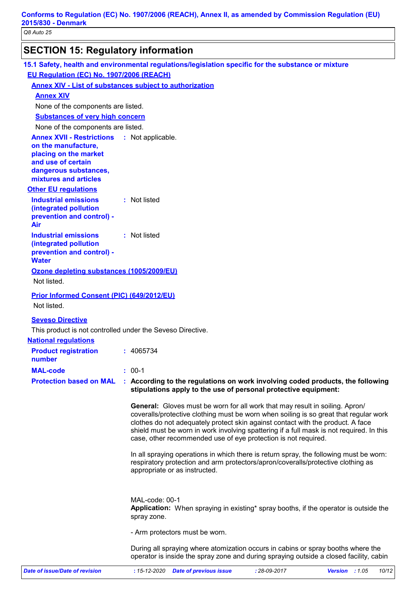## **SECTION 15: Regulatory information**

| 15.1 Safety, health and environmental regulations/legislation specific for the substance or mixture<br>EU Regulation (EC) No. 1907/2006 (REACH) |                               |                                |                                                                                                                                                                                                                                                                                                                                                                                                                               |                |       |
|-------------------------------------------------------------------------------------------------------------------------------------------------|-------------------------------|--------------------------------|-------------------------------------------------------------------------------------------------------------------------------------------------------------------------------------------------------------------------------------------------------------------------------------------------------------------------------------------------------------------------------------------------------------------------------|----------------|-------|
|                                                                                                                                                 |                               |                                |                                                                                                                                                                                                                                                                                                                                                                                                                               |                |       |
| <b>Annex XIV - List of substances subject to authorization</b><br><b>Annex XIV</b>                                                              |                               |                                |                                                                                                                                                                                                                                                                                                                                                                                                                               |                |       |
| None of the components are listed.                                                                                                              |                               |                                |                                                                                                                                                                                                                                                                                                                                                                                                                               |                |       |
| <b>Substances of very high concern</b>                                                                                                          |                               |                                |                                                                                                                                                                                                                                                                                                                                                                                                                               |                |       |
| None of the components are listed.                                                                                                              |                               |                                |                                                                                                                                                                                                                                                                                                                                                                                                                               |                |       |
| <b>Annex XVII - Restrictions : Not applicable.</b><br>on the manufacture,                                                                       |                               |                                |                                                                                                                                                                                                                                                                                                                                                                                                                               |                |       |
| placing on the market<br>and use of certain<br>dangerous substances,                                                                            |                               |                                |                                                                                                                                                                                                                                                                                                                                                                                                                               |                |       |
| mixtures and articles                                                                                                                           |                               |                                |                                                                                                                                                                                                                                                                                                                                                                                                                               |                |       |
| <b>Other EU regulations</b>                                                                                                                     |                               |                                |                                                                                                                                                                                                                                                                                                                                                                                                                               |                |       |
| <b>Industrial emissions</b><br>(integrated pollution<br>prevention and control) -<br>Air                                                        | : Not listed                  |                                |                                                                                                                                                                                                                                                                                                                                                                                                                               |                |       |
| <b>Industrial emissions</b><br>(integrated pollution<br>prevention and control) -<br><b>Water</b>                                               | : Not listed                  |                                |                                                                                                                                                                                                                                                                                                                                                                                                                               |                |       |
| Ozone depleting substances (1005/2009/EU)                                                                                                       |                               |                                |                                                                                                                                                                                                                                                                                                                                                                                                                               |                |       |
| Not listed.                                                                                                                                     |                               |                                |                                                                                                                                                                                                                                                                                                                                                                                                                               |                |       |
| Prior Informed Consent (PIC) (649/2012/EU)<br>Not listed.                                                                                       |                               |                                |                                                                                                                                                                                                                                                                                                                                                                                                                               |                |       |
|                                                                                                                                                 |                               |                                |                                                                                                                                                                                                                                                                                                                                                                                                                               |                |       |
| <b>Seveso Directive</b>                                                                                                                         |                               |                                |                                                                                                                                                                                                                                                                                                                                                                                                                               |                |       |
| This product is not controlled under the Seveso Directive.                                                                                      |                               |                                |                                                                                                                                                                                                                                                                                                                                                                                                                               |                |       |
| <b>National regulations</b>                                                                                                                     | : 4065734                     |                                |                                                                                                                                                                                                                                                                                                                                                                                                                               |                |       |
| <b>Product registration</b><br>number                                                                                                           |                               |                                |                                                                                                                                                                                                                                                                                                                                                                                                                               |                |       |
| <b>MAL-code</b>                                                                                                                                 | $: 00-1$                      |                                |                                                                                                                                                                                                                                                                                                                                                                                                                               |                |       |
| <b>Protection based on MAL</b>                                                                                                                  |                               |                                | : According to the regulations on work involving coded products, the following<br>stipulations apply to the use of personal protective equipment:                                                                                                                                                                                                                                                                             |                |       |
|                                                                                                                                                 |                               |                                | <b>General:</b> Gloves must be worn for all work that may result in soiling. Apron/<br>coveralls/protective clothing must be worn when soiling is so great that regular work<br>clothes do not adequately protect skin against contact with the product. A face<br>shield must be worn in work involving spattering if a full mask is not required. In this<br>case, other recommended use of eye protection is not required. |                |       |
|                                                                                                                                                 |                               | appropriate or as instructed.  | In all spraying operations in which there is return spray, the following must be worn:<br>respiratory protection and arm protectors/apron/coveralls/protective clothing as                                                                                                                                                                                                                                                    |                |       |
|                                                                                                                                                 | MAL-code: 00-1<br>spray zone. |                                | Application: When spraying in existing* spray booths, if the operator is outside the                                                                                                                                                                                                                                                                                                                                          |                |       |
|                                                                                                                                                 |                               | - Arm protectors must be worn. |                                                                                                                                                                                                                                                                                                                                                                                                                               |                |       |
|                                                                                                                                                 |                               |                                | During all spraying where atomization occurs in cabins or spray booths where the<br>operator is inside the spray zone and during spraying outside a closed facility, cabin                                                                                                                                                                                                                                                    |                |       |
| <b>Date of issue/Date of revision</b>                                                                                                           | $: 15 - 12 - 2020$            | <b>Date of previous issue</b>  | $: 28 - 09 - 2017$                                                                                                                                                                                                                                                                                                                                                                                                            | Version : 1.05 | 10/12 |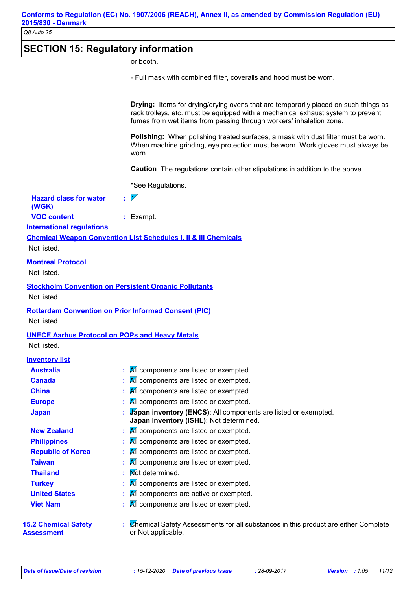## **SECTION 15: Regulatory information**

or booth.

- Full mask with combined filter, coveralls and hood must be worn.

**Drying:** Items for drying/drying ovens that are temporarily placed on such things as rack trolleys, etc. must be equipped with a mechanical exhaust system to prevent fumes from wet items from passing through workers' inhalation zone.

**Polishing:** When polishing treated surfaces, a mask with dust filter must be worn. When machine grinding, eye protection must be worn. Work gloves must always be worn.

**Caution** The regulations contain other stipulations in addition to the above.

\*See Regulations.

| <b>Hazard class for water</b> | $\mathcal{V}$ |  |
|-------------------------------|---------------|--|
| (WGK)                         |               |  |
| $\sim$ $\sim$ $\sim$          |               |  |

**VOC content :** Exempt.

**International regulations**

**Chemical Weapon Convention List Schedules I, II & III Chemicals**

Not listed.

#### **Montreal Protocol**

Not listed.

## **Stockholm Convention on Persistent Organic Pollutants**

Not listed.

#### **Rotterdam Convention on Prior Informed Consent (PIC)**

Not listed.

#### **UNECE Aarhus Protocol on POPs and Heavy Metals**

Not listed.

| <b>Inventory list</b> |
|-----------------------|
|-----------------------|

| <b>Australia</b>                                 | : All components are listed or exempted.                                                                    |
|--------------------------------------------------|-------------------------------------------------------------------------------------------------------------|
| <b>Canada</b>                                    | $\mathbf{A}$ All components are listed or exempted.                                                         |
| <b>China</b>                                     | All components are listed or exempted.                                                                      |
| <b>Europe</b>                                    | All components are listed or exempted.                                                                      |
| <b>Japan</b>                                     | : Vapan inventory (ENCS): All components are listed or exempted.<br>Japan inventory (ISHL): Not determined. |
| <b>New Zealand</b>                               | $\mathbf{A}$ All components are listed or exempted.                                                         |
| <b>Philippines</b>                               | All components are listed or exempted.                                                                      |
| <b>Republic of Korea</b>                         | $\mathbf{A}$ All components are listed or exempted.                                                         |
| <b>Taiwan</b>                                    | All components are listed or exempted.                                                                      |
| <b>Thailand</b>                                  | : Mot determined.                                                                                           |
| <b>Turkey</b>                                    | $\mathbf{A}$ All components are listed or exempted.                                                         |
| <b>United States</b>                             | All components are active or exempted.                                                                      |
| <b>Viet Nam</b>                                  | All components are listed or exempted.                                                                      |
| <b>15.2 Chemical Safety</b><br><b>Assessment</b> | Chemical Safety Assessments for all substances in this product are either Complete<br>or Not applicable.    |